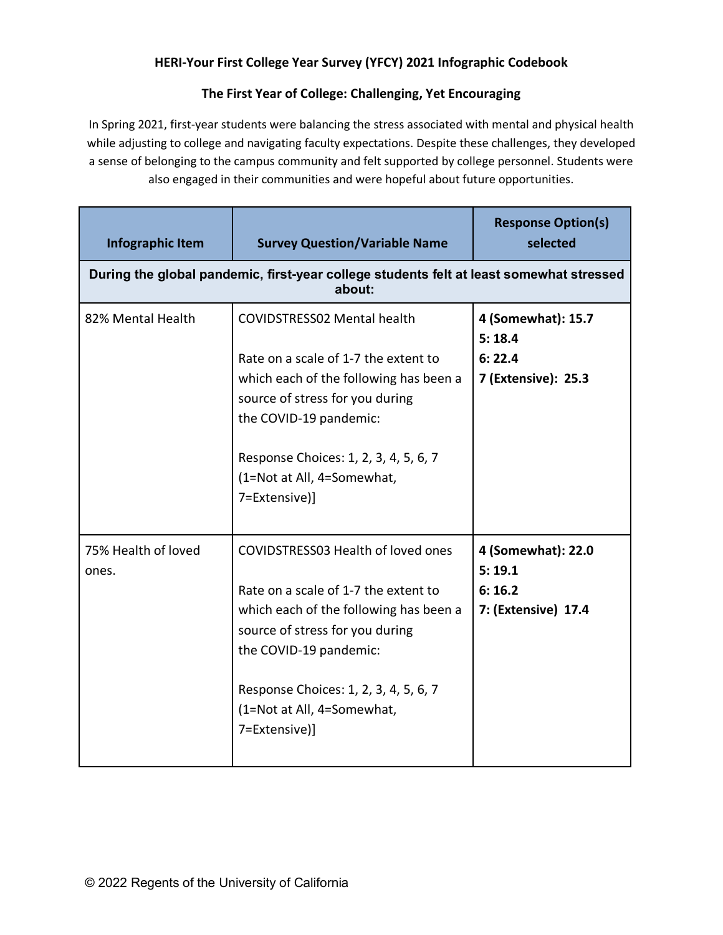## **HERI-Your First College Year Survey (YFCY) 2021 Infographic Codebook**

## **The First Year of College: Challenging, Yet Encouraging**

In Spring 2021, first-year students were balancing the stress associated with mental and physical health while adjusting to college and navigating faculty expectations. Despite these challenges, they developed a sense of belonging to the campus community and felt supported by college personnel. Students were also engaged in their communities and were hopeful about future opportunities.

| Infographic Item                                                                                  | <b>Survey Question/Variable Name</b>                                                                                                                                                                                                                                      | <b>Response Option(s)</b><br>selected                         |  |  |
|---------------------------------------------------------------------------------------------------|---------------------------------------------------------------------------------------------------------------------------------------------------------------------------------------------------------------------------------------------------------------------------|---------------------------------------------------------------|--|--|
| During the global pandemic, first-year college students felt at least somewhat stressed<br>about: |                                                                                                                                                                                                                                                                           |                                                               |  |  |
| 82% Mental Health                                                                                 | <b>COVIDSTRESS02 Mental health</b><br>Rate on a scale of 1-7 the extent to<br>which each of the following has been a<br>source of stress for you during<br>the COVID-19 pandemic:<br>Response Choices: 1, 2, 3, 4, 5, 6, 7<br>(1=Not at All, 4=Somewhat,<br>7=Extensive)] | 4 (Somewhat): 15.7<br>5:18.4<br>6:22.4<br>7 (Extensive): 25.3 |  |  |
| 75% Health of loved<br>ones.                                                                      | COVIDSTRESS03 Health of loved ones<br>Rate on a scale of 1-7 the extent to<br>which each of the following has been a<br>source of stress for you during<br>the COVID-19 pandemic:<br>Response Choices: 1, 2, 3, 4, 5, 6, 7<br>(1=Not at All, 4=Somewhat,<br>7=Extensive)] | 4 (Somewhat): 22.0<br>5:19.1<br>6:16.2<br>7: (Extensive) 17.4 |  |  |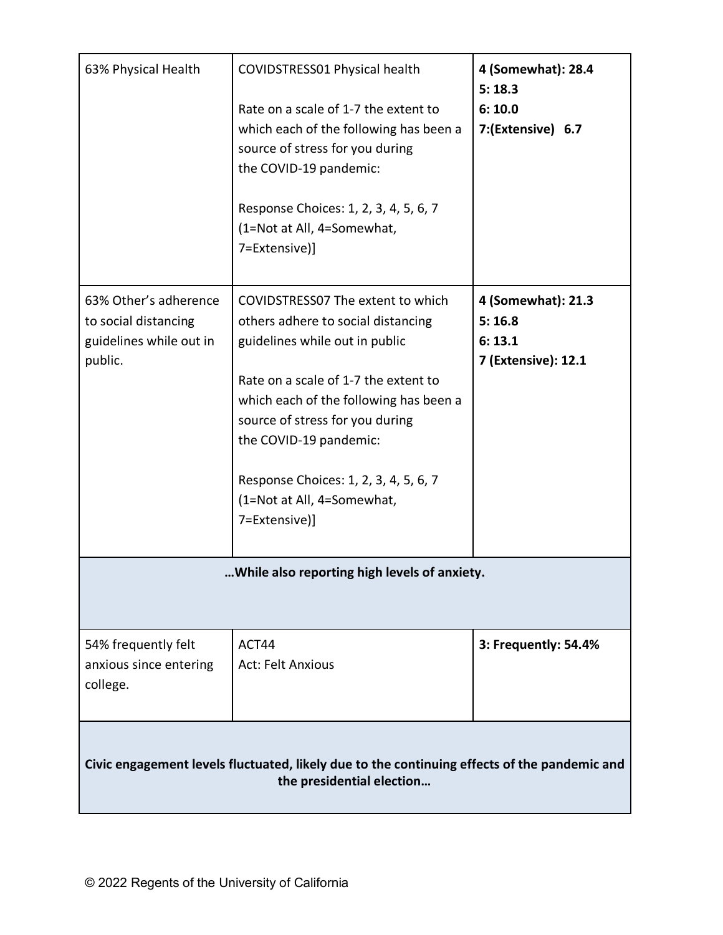| 63% Physical Health                                                                                                       | COVIDSTRESS01 Physical health<br>Rate on a scale of 1-7 the extent to<br>which each of the following has been a<br>source of stress for you during<br>the COVID-19 pandemic:<br>Response Choices: 1, 2, 3, 4, 5, 6, 7<br>(1=Not at All, 4=Somewhat,<br>7=Extensive)]                                                                             | 4 (Somewhat): 28.4<br>5:18.3<br>6:10.0<br>7:(Extensive) 6.7   |  |  |
|---------------------------------------------------------------------------------------------------------------------------|--------------------------------------------------------------------------------------------------------------------------------------------------------------------------------------------------------------------------------------------------------------------------------------------------------------------------------------------------|---------------------------------------------------------------|--|--|
| 63% Other's adherence<br>to social distancing<br>guidelines while out in<br>public.                                       | COVIDSTRESS07 The extent to which<br>others adhere to social distancing<br>guidelines while out in public<br>Rate on a scale of 1-7 the extent to<br>which each of the following has been a<br>source of stress for you during<br>the COVID-19 pandemic:<br>Response Choices: 1, 2, 3, 4, 5, 6, 7<br>(1=Not at All, 4=Somewhat,<br>7=Extensive)] | 4 (Somewhat): 21.3<br>5:16.8<br>6:13.1<br>7 (Extensive): 12.1 |  |  |
| While also reporting high levels of anxiety.                                                                              |                                                                                                                                                                                                                                                                                                                                                  |                                                               |  |  |
| 54% frequently felt<br>anxious since entering<br>college.                                                                 | ACT44<br><b>Act: Felt Anxious</b>                                                                                                                                                                                                                                                                                                                | 3: Frequently: 54.4%                                          |  |  |
| Civic engagement levels fluctuated, likely due to the continuing effects of the pandemic and<br>the presidential election |                                                                                                                                                                                                                                                                                                                                                  |                                                               |  |  |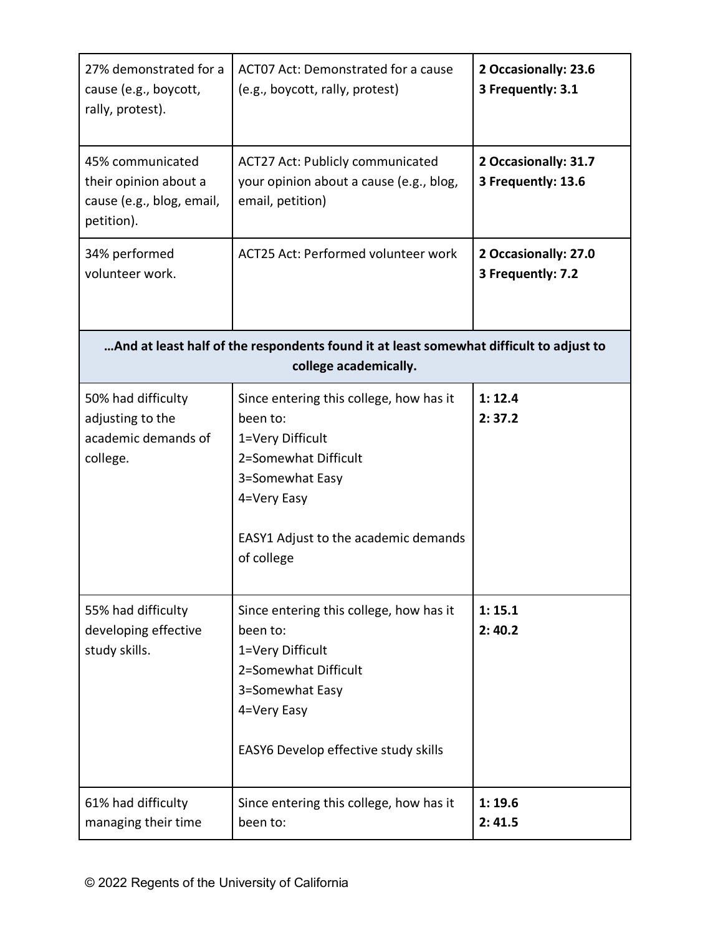| 27% demonstrated for a<br>cause (e.g., boycott,<br>rally, protest).                                             | ACT07 Act: Demonstrated for a cause<br>(e.g., boycott, rally, protest)                                                                                                                  | 2 Occasionally: 23.6<br>3 Frequently: 3.1  |  |  |
|-----------------------------------------------------------------------------------------------------------------|-----------------------------------------------------------------------------------------------------------------------------------------------------------------------------------------|--------------------------------------------|--|--|
| 45% communicated<br>their opinion about a<br>cause (e.g., blog, email,<br>petition).                            | <b>ACT27 Act: Publicly communicated</b><br>your opinion about a cause (e.g., blog,<br>email, petition)                                                                                  | 2 Occasionally: 31.7<br>3 Frequently: 13.6 |  |  |
| 34% performed<br>volunteer work.                                                                                | ACT25 Act: Performed volunteer work                                                                                                                                                     | 2 Occasionally: 27.0<br>3 Frequently: 7.2  |  |  |
| And at least half of the respondents found it at least somewhat difficult to adjust to<br>college academically. |                                                                                                                                                                                         |                                            |  |  |
| 50% had difficulty<br>adjusting to the<br>academic demands of<br>college.                                       | Since entering this college, how has it<br>been to:<br>1=Very Difficult<br>2=Somewhat Difficult<br>3=Somewhat Easy<br>4=Very Easy<br>EASY1 Adjust to the academic demands<br>of college | 1: 12.4<br>2:37.2                          |  |  |
| 55% had difficulty<br>developing effective<br>study skills.                                                     | Since entering this college, how has it<br>been to:<br>1=Very Difficult<br>2=Somewhat Difficult<br>3=Somewhat Easy<br>4=Very Easy<br>EASY6 Develop effective study skills               | 1:15.1<br>2:40.2                           |  |  |
| 61% had difficulty<br>managing their time                                                                       | Since entering this college, how has it<br>been to:                                                                                                                                     | 1:19.6<br>2:41.5                           |  |  |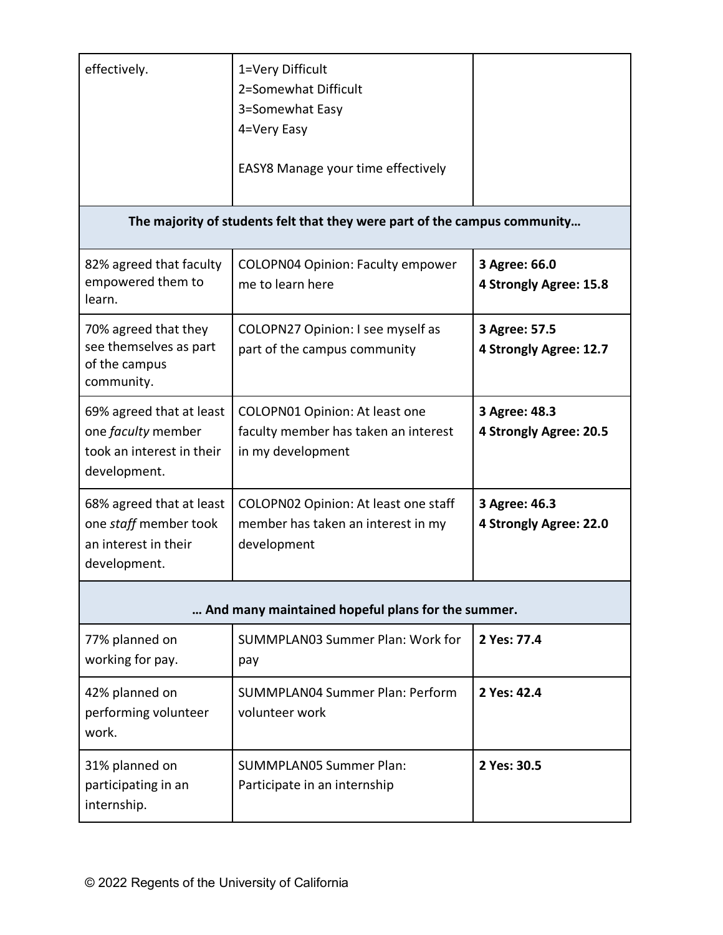| effectively.                                                                                | 1=Very Difficult<br>2=Somewhat Difficult<br>3=Somewhat Easy<br>4=Very Easy<br>EASY8 Manage your time effectively |                                         |  |  |
|---------------------------------------------------------------------------------------------|------------------------------------------------------------------------------------------------------------------|-----------------------------------------|--|--|
| The majority of students felt that they were part of the campus community                   |                                                                                                                  |                                         |  |  |
| 82% agreed that faculty<br>empowered them to<br>learn.                                      | <b>COLOPN04 Opinion: Faculty empower</b><br>me to learn here                                                     | 3 Agree: 66.0<br>4 Strongly Agree: 15.8 |  |  |
| 70% agreed that they<br>see themselves as part<br>of the campus<br>community.               | COLOPN27 Opinion: I see myself as<br>part of the campus community                                                | 3 Agree: 57.5<br>4 Strongly Agree: 12.7 |  |  |
| 69% agreed that at least<br>one faculty member<br>took an interest in their<br>development. | COLOPN01 Opinion: At least one<br>faculty member has taken an interest<br>in my development                      | 3 Agree: 48.3<br>4 Strongly Agree: 20.5 |  |  |
| 68% agreed that at least<br>one staff member took<br>an interest in their<br>development.   | COLOPN02 Opinion: At least one staff<br>member has taken an interest in my<br>development                        | 3 Agree: 46.3<br>4 Strongly Agree: 22.0 |  |  |
| And many maintained hopeful plans for the summer.                                           |                                                                                                                  |                                         |  |  |
| 77% planned on<br>working for pay.                                                          | SUMMPLAN03 Summer Plan: Work for<br>pay                                                                          | 2 Yes: 77.4                             |  |  |
| 42% planned on<br>performing volunteer<br>work.                                             | <b>SUMMPLAN04 Summer Plan: Perform</b><br>volunteer work                                                         | 2 Yes: 42.4                             |  |  |
| 31% planned on<br>participating in an<br>internship.                                        | <b>SUMMPLAN05 Summer Plan:</b><br>Participate in an internship                                                   | 2 Yes: 30.5                             |  |  |